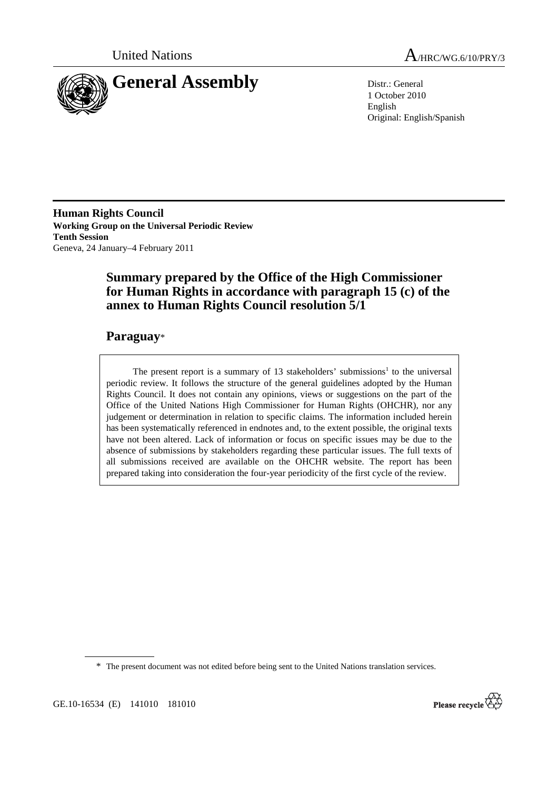



1 October 2010 English Original: English/Spanish

**Human Rights Council Working Group on the Universal Periodic Review Tenth Session**  Geneva, 24 January–4 February 2011

# **Summary prepared by the Office of the High Commissioner for Human Rights in accordance with paragraph 15 (c) of the annex to Human Rights Council resolution 5/1**

## **Paraguay**\*

The present report is a summary of 13 stakeholders' submissions<sup>1</sup> to the universal periodic review. It follows the structure of the general guidelines adopted by the Human Rights Council. It does not contain any opinions, views or suggestions on the part of the Office of the United Nations High Commissioner for Human Rights (OHCHR), nor any judgement or determination in relation to specific claims. The information included herein has been systematically referenced in endnotes and, to the extent possible, the original texts have not been altered. Lack of information or focus on specific issues may be due to the absence of submissions by stakeholders regarding these particular issues. The full texts of all submissions received are available on the OHCHR website. The report has been prepared taking into consideration the four-year periodicity of the first cycle of the review.

\* The present document was not edited before being sent to the United Nations translation services.

GE.10-16534 (E) 141010 181010

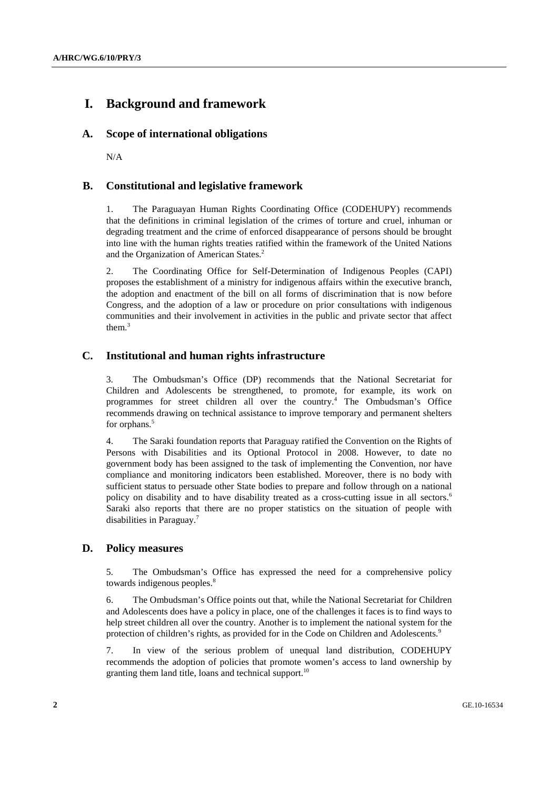# **I. Background and framework**

### **A. Scope of international obligations**

N/A

## **B. Constitutional and legislative framework**

1. The Paraguayan Human Rights Coordinating Office (CODEHUPY) recommends that the definitions in criminal legislation of the crimes of torture and cruel, inhuman or degrading treatment and the crime of enforced disappearance of persons should be brought into line with the human rights treaties ratified within the framework of the United Nations and the Organization of American States.<sup>2</sup>

2. The Coordinating Office for Self-Determination of Indigenous Peoples (CAPI) proposes the establishment of a ministry for indigenous affairs within the executive branch, the adoption and enactment of the bill on all forms of discrimination that is now before Congress, and the adoption of a law or procedure on prior consultations with indigenous communities and their involvement in activities in the public and private sector that affect them $3$ 

## **C. Institutional and human rights infrastructure**

3. The Ombudsman's Office (DP) recommends that the National Secretariat for Children and Adolescents be strengthened, to promote, for example, its work on programmes for street children all over the country.<sup>4</sup> The Ombudsman's Office recommends drawing on technical assistance to improve temporary and permanent shelters for orphans.<sup>5</sup>

4. The Saraki foundation reports that Paraguay ratified the Convention on the Rights of Persons with Disabilities and its Optional Protocol in 2008. However, to date no government body has been assigned to the task of implementing the Convention, nor have compliance and monitoring indicators been established. Moreover, there is no body with sufficient status to persuade other State bodies to prepare and follow through on a national policy on disability and to have disability treated as a cross-cutting issue in all sectors.<sup>6</sup> Saraki also reports that there are no proper statistics on the situation of people with disabilities in Paraguay.7

## **D. Policy measures**

5. The Ombudsman's Office has expressed the need for a comprehensive policy towards indigenous peoples.<sup>8</sup>

6. The Ombudsman's Office points out that, while the National Secretariat for Children and Adolescents does have a policy in place, one of the challenges it faces is to find ways to help street children all over the country. Another is to implement the national system for the protection of children's rights, as provided for in the Code on Children and Adolescents.9

7. In view of the serious problem of unequal land distribution, CODEHUPY recommends the adoption of policies that promote women's access to land ownership by granting them land title, loans and technical support.<sup>10</sup>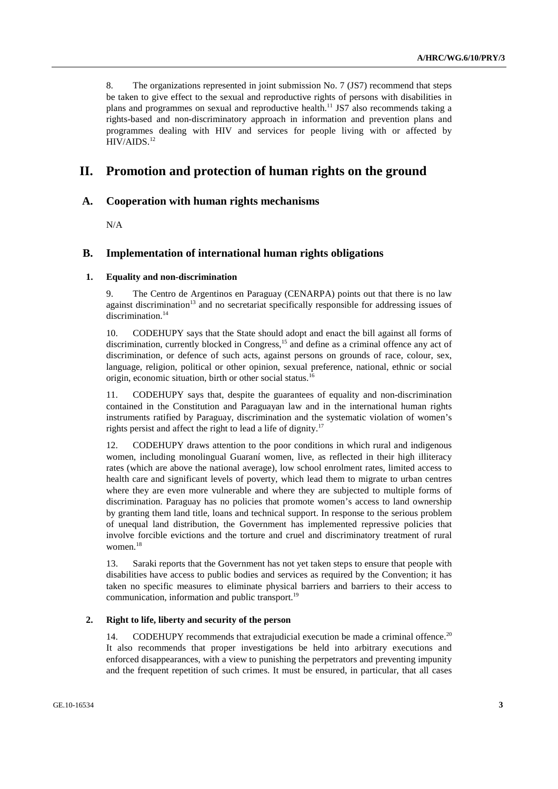8. The organizations represented in joint submission No. 7 (JS7) recommend that steps be taken to give effect to the sexual and reproductive rights of persons with disabilities in plans and programmes on sexual and reproductive health.<sup>11</sup> JS7 also recommends taking a rights-based and non-discriminatory approach in information and prevention plans and programmes dealing with HIV and services for people living with or affected by HIV/AIDS.12

## **II. Promotion and protection of human rights on the ground**

### **A. Cooperation with human rights mechanisms**

N/A

### **B. Implementation of international human rights obligations**

#### **1. Equality and non-discrimination**

9. The Centro de Argentinos en Paraguay (CENARPA) points out that there is no law against discrimination<sup>13</sup> and no secretariat specifically responsible for addressing issues of discrimination.<sup>14</sup>

10. CODEHUPY says that the State should adopt and enact the bill against all forms of discrimination, currently blocked in Congress.<sup>15</sup> and define as a criminal offence any act of discrimination, or defence of such acts, against persons on grounds of race, colour, sex, language, religion, political or other opinion, sexual preference, national, ethnic or social origin, economic situation, birth or other social status.16

11. CODEHUPY says that, despite the guarantees of equality and non-discrimination contained in the Constitution and Paraguayan law and in the international human rights instruments ratified by Paraguay, discrimination and the systematic violation of women's rights persist and affect the right to lead a life of dignity.<sup>17</sup>

12. CODEHUPY draws attention to the poor conditions in which rural and indigenous women, including monolingual Guaraní women, live, as reflected in their high illiteracy rates (which are above the national average), low school enrolment rates, limited access to health care and significant levels of poverty, which lead them to migrate to urban centres where they are even more vulnerable and where they are subjected to multiple forms of discrimination. Paraguay has no policies that promote women's access to land ownership by granting them land title, loans and technical support. In response to the serious problem of unequal land distribution, the Government has implemented repressive policies that involve forcible evictions and the torture and cruel and discriminatory treatment of rural women.<sup>18</sup>

13. Saraki reports that the Government has not yet taken steps to ensure that people with disabilities have access to public bodies and services as required by the Convention; it has taken no specific measures to eliminate physical barriers and barriers to their access to communication, information and public transport.<sup>19</sup>

### **2. Right to life, liberty and security of the person**

14. CODEHUPY recommends that extrajudicial execution be made a criminal offence.<sup>20</sup> It also recommends that proper investigations be held into arbitrary executions and enforced disappearances, with a view to punishing the perpetrators and preventing impunity and the frequent repetition of such crimes. It must be ensured, in particular, that all cases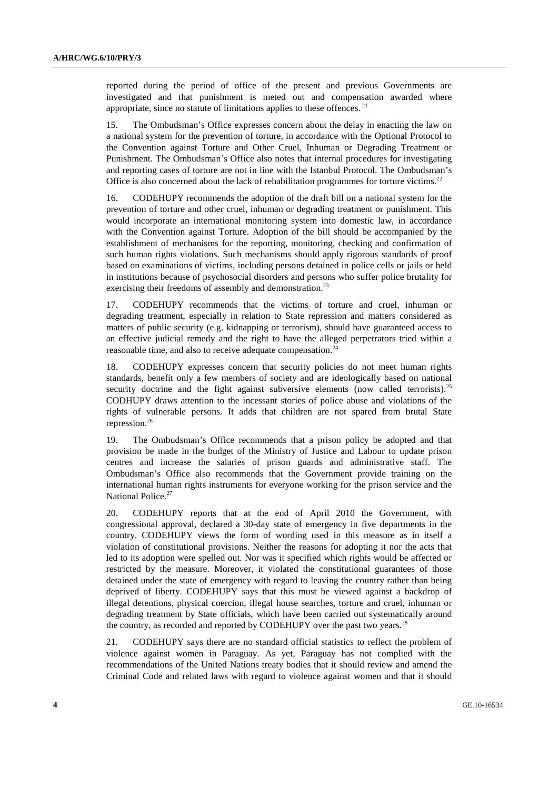reported during the period of office of the present and previous Governments are investigated and that punishment is meted out and compensation awarded where appropriate, since no statute of limitations applies to these offences.  $21$ 

15. The Ombudsman's Office expresses concern about the delay in enacting the law on a national system for the prevention of torture, in accordance with the Optional Protocol to the Convention against Torture and Other Cruel, Inhuman or Degrading Treatment or Punishment. The Ombudsman's Office also notes that internal procedures for investigating and reporting cases of torture are not in line with the Istanbul Protocol. The Ombudsman's Office is also concerned about the lack of rehabilitation programmes for torture victims.<sup>22</sup>

16. CODEHUPY recommends the adoption of the draft bill on a national system for the prevention of torture and other cruel, inhuman or degrading treatment or punishment. This would incorporate an international monitoring system into domestic law, in accordance with the Convention against Torture. Adoption of the bill should be accompanied by the establishment of mechanisms for the reporting, monitoring, checking and confirmation of such human rights violations. Such mechanisms should apply rigorous standards of proof based on examinations of victims, including persons detained in police cells or jails or held in institutions because of psychosocial disorders and persons who suffer police brutality for exercising their freedoms of assembly and demonstration.<sup>23</sup>

17. CODEHUPY recommends that the victims of torture and cruel, inhuman or degrading treatment, especially in relation to State repression and matters considered as matters of public security (e.g. kidnapping or terrorism), should have guaranteed access to an effective judicial remedy and the right to have the alleged perpetrators tried within a reasonable time, and also to receive adequate compensation.<sup>24</sup>

18. CODEHUPY expresses concern that security policies do not meet human rights standards, benefit only a few members of society and are ideologically based on national security doctrine and the fight against subversive elements (now called terrorists).<sup>25</sup> CODHUPY draws attention to the incessant stories of police abuse and violations of the rights of vulnerable persons. It adds that children are not spared from brutal State repression.26

19. The Ombudsman's Office recommends that a prison policy be adopted and that provision be made in the budget of the Ministry of Justice and Labour to update prison centres and increase the salaries of prison guards and administrative staff. The Ombudsman's Office also recommends that the Government provide training on the international human rights instruments for everyone working for the prison service and the National Police.<sup>27</sup>

20. CODEHUPY reports that at the end of April 2010 the Government, with congressional approval, declared a 30-day state of emergency in five departments in the country. CODEHUPY views the form of wording used in this measure as in itself a violation of constitutional provisions. Neither the reasons for adopting it nor the acts that led to its adoption were spelled out. Nor was it specified which rights would be affected or restricted by the measure. Moreover, it violated the constitutional guarantees of those detained under the state of emergency with regard to leaving the country rather than being deprived of liberty. CODEHUPY says that this must be viewed against a backdrop of illegal detentions, physical coercion, illegal house searches, torture and cruel, inhuman or degrading treatment by State officials, which have been carried out systematically around the country, as recorded and reported by CODEHUPY over the past two years.<sup>28</sup>

21. CODEHUPY says there are no standard official statistics to reflect the problem of violence against women in Paraguay. As yet, Paraguay has not complied with the recommendations of the United Nations treaty bodies that it should review and amend the Criminal Code and related laws with regard to violence against women and that it should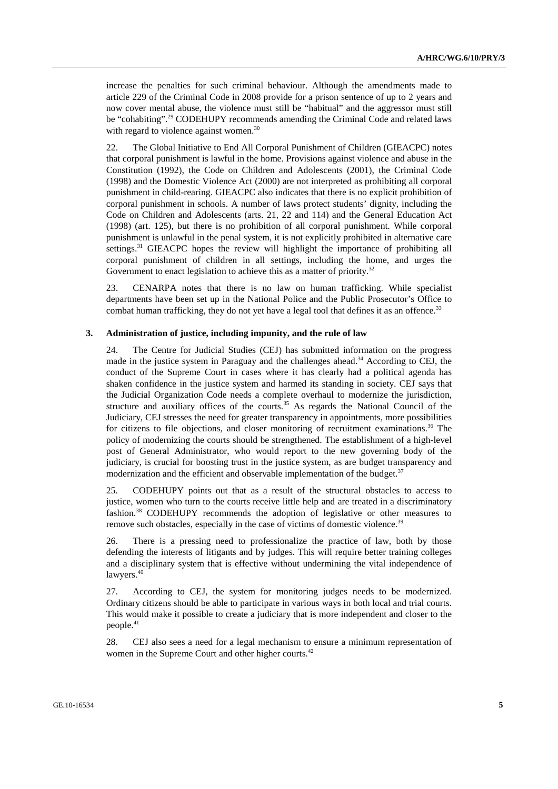increase the penalties for such criminal behaviour. Although the amendments made to article 229 of the Criminal Code in 2008 provide for a prison sentence of up to 2 years and now cover mental abuse, the violence must still be "habitual" and the aggressor must still be "cohabiting".29 CODEHUPY recommends amending the Criminal Code and related laws with regard to violence against women.<sup>30</sup>

22. The Global Initiative to End All Corporal Punishment of Children (GIEACPC) notes that corporal punishment is lawful in the home. Provisions against violence and abuse in the Constitution (1992), the Code on Children and Adolescents (2001), the Criminal Code (1998) and the Domestic Violence Act (2000) are not interpreted as prohibiting all corporal punishment in child-rearing. GIEACPC also indicates that there is no explicit prohibition of corporal punishment in schools. A number of laws protect students' dignity, including the Code on Children and Adolescents (arts. 21, 22 and 114) and the General Education Act (1998) (art. 125), but there is no prohibition of all corporal punishment. While corporal punishment is unlawful in the penal system, it is not explicitly prohibited in alternative care settings.<sup>31</sup> GIEACPC hopes the review will highlight the importance of prohibiting all corporal punishment of children in all settings, including the home, and urges the Government to enact legislation to achieve this as a matter of priority.<sup>32</sup>

23. CENARPA notes that there is no law on human trafficking. While specialist departments have been set up in the National Police and the Public Prosecutor's Office to combat human trafficking, they do not yet have a legal tool that defines it as an offence.<sup>33</sup>

#### **3. Administration of justice, including impunity, and the rule of law**

24. The Centre for Judicial Studies (CEJ) has submitted information on the progress made in the justice system in Paraguay and the challenges ahead. $34$  According to CEJ, the conduct of the Supreme Court in cases where it has clearly had a political agenda has shaken confidence in the justice system and harmed its standing in society. CEJ says that the Judicial Organization Code needs a complete overhaul to modernize the jurisdiction, structure and auxiliary offices of the courts.<sup>35</sup> As regards the National Council of the Judiciary, CEJ stresses the need for greater transparency in appointments, more possibilities for citizens to file objections, and closer monitoring of recruitment examinations.<sup>36</sup> The policy of modernizing the courts should be strengthened. The establishment of a high-level post of General Administrator, who would report to the new governing body of the judiciary, is crucial for boosting trust in the justice system, as are budget transparency and modernization and the efficient and observable implementation of the budget.<sup>37</sup>

25. CODEHUPY points out that as a result of the structural obstacles to access to justice, women who turn to the courts receive little help and are treated in a discriminatory fashion.<sup>38</sup> CODEHUPY recommends the adoption of legislative or other measures to remove such obstacles, especially in the case of victims of domestic violence.<sup>39</sup>

26. There is a pressing need to professionalize the practice of law, both by those defending the interests of litigants and by judges. This will require better training colleges and a disciplinary system that is effective without undermining the vital independence of lawyers.<sup>40</sup>

27. According to CEJ, the system for monitoring judges needs to be modernized. Ordinary citizens should be able to participate in various ways in both local and trial courts. This would make it possible to create a judiciary that is more independent and closer to the people.<sup>41</sup>

28. CEJ also sees a need for a legal mechanism to ensure a minimum representation of women in the Supreme Court and other higher courts.<sup>42</sup>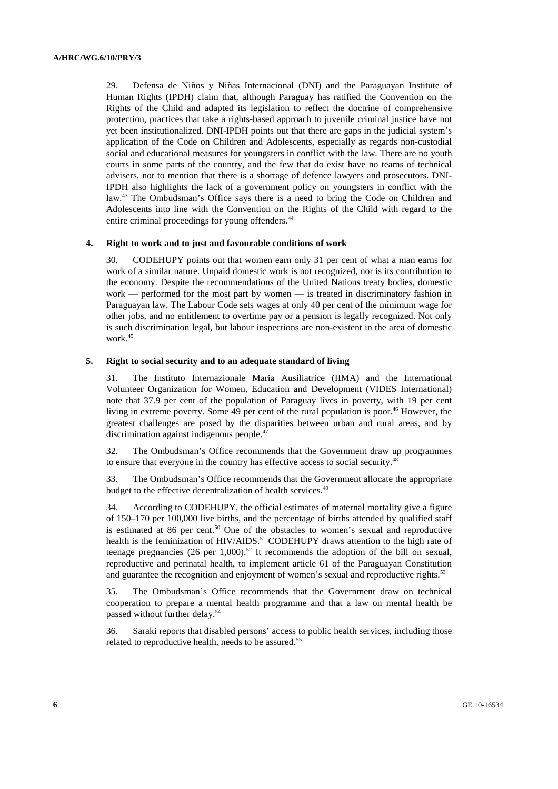29. Defensa de Niños y Niñas Internacional (DNI) and the Paraguayan Institute of Human Rights (IPDH) claim that, although Paraguay has ratified the Convention on the Rights of the Child and adapted its legislation to reflect the doctrine of comprehensive protection, practices that take a rights-based approach to juvenile criminal justice have not yet been institutionalized. DNI-IPDH points out that there are gaps in the judicial system's application of the Code on Children and Adolescents, especially as regards non-custodial social and educational measures for youngsters in conflict with the law. There are no youth courts in some parts of the country, and the few that do exist have no teams of technical advisers, not to mention that there is a shortage of defence lawyers and prosecutors. DNI-IPDH also highlights the lack of a government policy on youngsters in conflict with the law.43 The Ombudsman's Office says there is a need to bring the Code on Children and Adolescents into line with the Convention on the Rights of the Child with regard to the entire criminal proceedings for young offenders.<sup>44</sup>

#### **4. Right to work and to just and favourable conditions of work**

30. CODEHUPY points out that women earn only 31 per cent of what a man earns for work of a similar nature. Unpaid domestic work is not recognized, nor is its contribution to the economy. Despite the recommendations of the United Nations treaty bodies, domestic work — performed for the most part by women — is treated in discriminatory fashion in Paraguayan law. The Labour Code sets wages at only 40 per cent of the minimum wage for other jobs, and no entitlement to overtime pay or a pension is legally recognized. Not only is such discrimination legal, but labour inspections are non-existent in the area of domestic work.<sup>45</sup>

#### **5. Right to social security and to an adequate standard of living**

31. The Instituto Internazionale Maria Ausiliatrice (IIMA) and the International Volunteer Organization for Women, Education and Development (VIDES International) note that 37.9 per cent of the population of Paraguay lives in poverty, with 19 per cent living in extreme poverty. Some 49 per cent of the rural population is poor.<sup>46</sup> However, the greatest challenges are posed by the disparities between urban and rural areas, and by discrimination against indigenous people.<sup>47</sup>

32. The Ombudsman's Office recommends that the Government draw up programmes to ensure that everyone in the country has effective access to social security.<sup>48</sup>

33. The Ombudsman's Office recommends that the Government allocate the appropriate budget to the effective decentralization of health services.<sup>49</sup>

34. According to CODEHUPY, the official estimates of maternal mortality give a figure of 150–170 per 100,000 live births, and the percentage of births attended by qualified staff is estimated at 86 per cent.<sup>50</sup> One of the obstacles to women's sexual and reproductive health is the feminization of HIV/AIDS.<sup>51</sup> CODEHUPY draws attention to the high rate of teenage pregnancies (26 per 1,000).<sup>52</sup> It recommends the adoption of the bill on sexual, reproductive and perinatal health, to implement article 61 of the Paraguayan Constitution and guarantee the recognition and enjoyment of women's sexual and reproductive rights.<sup>53</sup>

35. The Ombudsman's Office recommends that the Government draw on technical cooperation to prepare a mental health programme and that a law on mental health be passed without further delay.54

36. Saraki reports that disabled persons' access to public health services, including those related to reproductive health, needs to be assured.<sup>55</sup>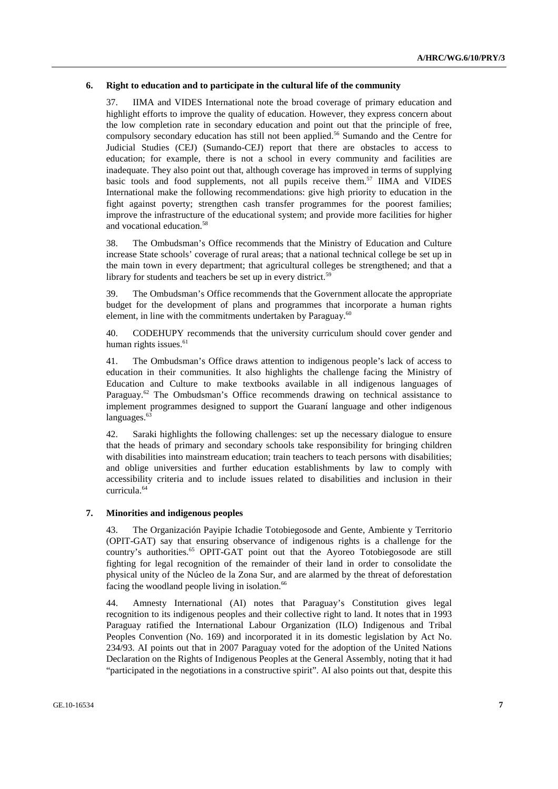#### **6. Right to education and to participate in the cultural life of the community**

37. IIMA and VIDES International note the broad coverage of primary education and highlight efforts to improve the quality of education. However, they express concern about the low completion rate in secondary education and point out that the principle of free, compulsory secondary education has still not been applied.<sup>56</sup> Sumando and the Centre for Judicial Studies (CEJ) (Sumando-CEJ) report that there are obstacles to access to education; for example, there is not a school in every community and facilities are inadequate. They also point out that, although coverage has improved in terms of supplying basic tools and food supplements, not all pupils receive them.<sup>57</sup> IIMA and VIDES International make the following recommendations: give high priority to education in the fight against poverty; strengthen cash transfer programmes for the poorest families; improve the infrastructure of the educational system; and provide more facilities for higher and vocational education.58

38. The Ombudsman's Office recommends that the Ministry of Education and Culture increase State schools' coverage of rural areas; that a national technical college be set up in the main town in every department; that agricultural colleges be strengthened; and that a library for students and teachers be set up in every district.<sup>59</sup>

39. The Ombudsman's Office recommends that the Government allocate the appropriate budget for the development of plans and programmes that incorporate a human rights element, in line with the commitments undertaken by Paraguay.<sup>60</sup>

40. CODEHUPY recommends that the university curriculum should cover gender and human rights issues. $61$ 

41. The Ombudsman's Office draws attention to indigenous people's lack of access to education in their communities. It also highlights the challenge facing the Ministry of Education and Culture to make textbooks available in all indigenous languages of Paraguay.<sup>62</sup> The Ombudsman's Office recommends drawing on technical assistance to implement programmes designed to support the Guaraní language and other indigenous languages.<sup>63</sup>

42. Saraki highlights the following challenges: set up the necessary dialogue to ensure that the heads of primary and secondary schools take responsibility for bringing children with disabilities into mainstream education; train teachers to teach persons with disabilities; and oblige universities and further education establishments by law to comply with accessibility criteria and to include issues related to disabilities and inclusion in their curricula.64

#### **7. Minorities and indigenous peoples**

43. The Organización Payipie Ichadie Totobiegosode and Gente, Ambiente y Territorio (OPIT-GAT) say that ensuring observance of indigenous rights is a challenge for the country's authorities.<sup>65</sup> OPIT-GAT point out that the Ayoreo Totobiegosode are still fighting for legal recognition of the remainder of their land in order to consolidate the physical unity of the Núcleo de la Zona Sur, and are alarmed by the threat of deforestation facing the woodland people living in isolation.<sup>66</sup>

44. Amnesty International (AI) notes that Paraguay's Constitution gives legal recognition to its indigenous peoples and their collective right to land. It notes that in 1993 Paraguay ratified the International Labour Organization (ILO) Indigenous and Tribal Peoples Convention (No. 169) and incorporated it in its domestic legislation by Act No. 234/93. AI points out that in 2007 Paraguay voted for the adoption of the United Nations Declaration on the Rights of Indigenous Peoples at the General Assembly, noting that it had "participated in the negotiations in a constructive spirit". AI also points out that, despite this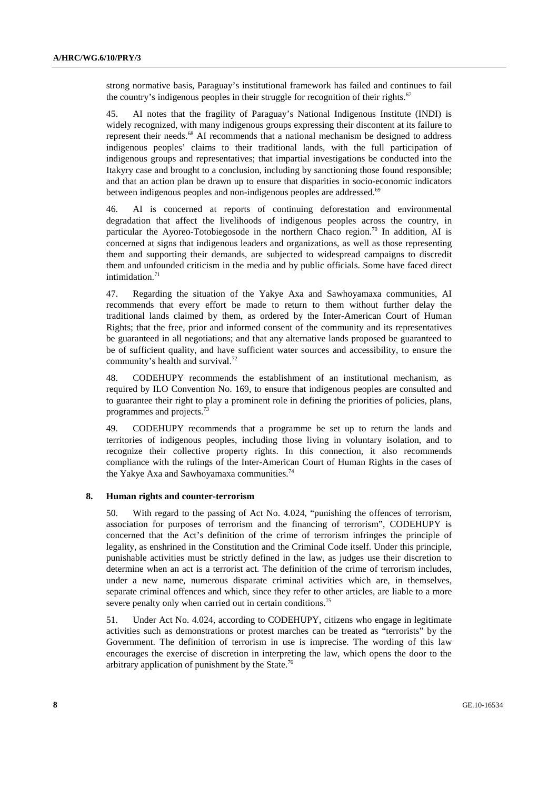strong normative basis, Paraguay's institutional framework has failed and continues to fail the country's indigenous peoples in their struggle for recognition of their rights. $67$ 

45. AI notes that the fragility of Paraguay's National Indigenous Institute (INDI) is widely recognized, with many indigenous groups expressing their discontent at its failure to represent their needs.68 AI recommends that a national mechanism be designed to address indigenous peoples' claims to their traditional lands, with the full participation of indigenous groups and representatives; that impartial investigations be conducted into the Itakyry case and brought to a conclusion, including by sanctioning those found responsible; and that an action plan be drawn up to ensure that disparities in socio-economic indicators between indigenous peoples and non-indigenous peoples are addressed.<sup>69</sup>

46. AI is concerned at reports of continuing deforestation and environmental degradation that affect the livelihoods of indigenous peoples across the country, in particular the Ayoreo-Totobiegosode in the northern Chaco region.<sup>70</sup> In addition, AI is concerned at signs that indigenous leaders and organizations, as well as those representing them and supporting their demands, are subjected to widespread campaigns to discredit them and unfounded criticism in the media and by public officials. Some have faced direct intimidation. $71$ 

47. Regarding the situation of the Yakye Axa and Sawhoyamaxa communities, AI recommends that every effort be made to return to them without further delay the traditional lands claimed by them, as ordered by the Inter-American Court of Human Rights; that the free, prior and informed consent of the community and its representatives be guaranteed in all negotiations; and that any alternative lands proposed be guaranteed to be of sufficient quality, and have sufficient water sources and accessibility, to ensure the community's health and survival.<sup>72</sup>

48. CODEHUPY recommends the establishment of an institutional mechanism, as required by ILO Convention No. 169, to ensure that indigenous peoples are consulted and to guarantee their right to play a prominent role in defining the priorities of policies, plans, programmes and projects.<sup>73</sup>

49. CODEHUPY recommends that a programme be set up to return the lands and territories of indigenous peoples, including those living in voluntary isolation, and to recognize their collective property rights. In this connection, it also recommends compliance with the rulings of the Inter-American Court of Human Rights in the cases of the Yakye Axa and Sawhoyamaxa communities.<sup>74</sup>

#### **8. Human rights and counter-terrorism**

50. With regard to the passing of Act No. 4.024, "punishing the offences of terrorism, association for purposes of terrorism and the financing of terrorism", CODEHUPY is concerned that the Act's definition of the crime of terrorism infringes the principle of legality, as enshrined in the Constitution and the Criminal Code itself. Under this principle, punishable activities must be strictly defined in the law, as judges use their discretion to determine when an act is a terrorist act. The definition of the crime of terrorism includes, under a new name, numerous disparate criminal activities which are, in themselves, separate criminal offences and which, since they refer to other articles, are liable to a more severe penalty only when carried out in certain conditions.<sup>75</sup>

51. Under Act No. 4.024, according to CODEHUPY, citizens who engage in legitimate activities such as demonstrations or protest marches can be treated as "terrorists" by the Government. The definition of terrorism in use is imprecise. The wording of this law encourages the exercise of discretion in interpreting the law, which opens the door to the arbitrary application of punishment by the State.76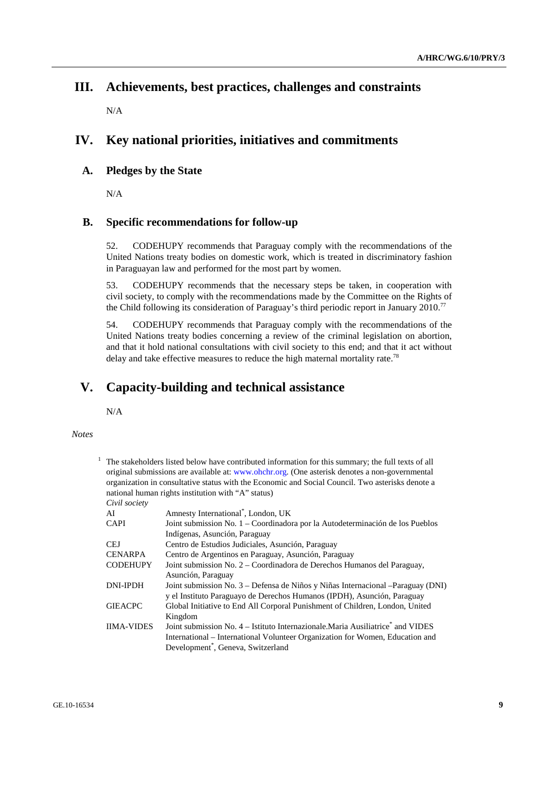## **III. Achievements, best practices, challenges and constraints**

N/A

# **IV. Key national priorities, initiatives and commitments**

### **A. Pledges by the State**

N/A

### **B. Specific recommendations for follow-up**

52. CODEHUPY recommends that Paraguay comply with the recommendations of the United Nations treaty bodies on domestic work, which is treated in discriminatory fashion in Paraguayan law and performed for the most part by women.

53. CODEHUPY recommends that the necessary steps be taken, in cooperation with civil society, to comply with the recommendations made by the Committee on the Rights of the Child following its consideration of Paraguay's third periodic report in January 2010.77

54. CODEHUPY recommends that Paraguay comply with the recommendations of the United Nations treaty bodies concerning a review of the criminal legislation on abortion, and that it hold national consultations with civil society to this end; and that it act without delay and take effective measures to reduce the high maternal mortality rate.<sup>78</sup>

## **V. Capacity-building and technical assistance**

N/A

#### *Notes*

1 The stakeholders listed below have contributed information for this summary; the full texts of all original submissions are available at: www.ohchr.org. (One asterisk denotes a non-governmental organization in consultative status with the Economic and Social Council. Two asterisks denote a national human rights institution with "A" status)

*Civil society* 

| Amnesty International*, London, UK                                                          |
|---------------------------------------------------------------------------------------------|
| Joint submission No. 1 – Coordinadora por la Autodeterminación de los Pueblos               |
| Indígenas, Asunción, Paraguay                                                               |
| Centro de Estudios Judiciales, Asunción, Paraguay                                           |
| Centro de Argentinos en Paraguay, Asunción, Paraguay                                        |
| Joint submission No. 2 - Coordinadora de Derechos Humanos del Paraguay,                     |
| Asunción, Paraguay                                                                          |
| Joint submission No. 3 – Defensa de Niños y Niñas Internacional – Paraguay (DNI)            |
| y el Instituto Paraguayo de Derechos Humanos (IPDH), Asunción, Paraguay                     |
| Global Initiative to End All Corporal Punishment of Children, London, United                |
| Kingdom                                                                                     |
| Joint submission No. 4 – Istituto Internazionale. Maria Ausiliatrice <sup>*</sup> and VIDES |
| International – International Volunteer Organization for Women, Education and               |
| Development <sup>*</sup> , Geneva, Switzerland                                              |
|                                                                                             |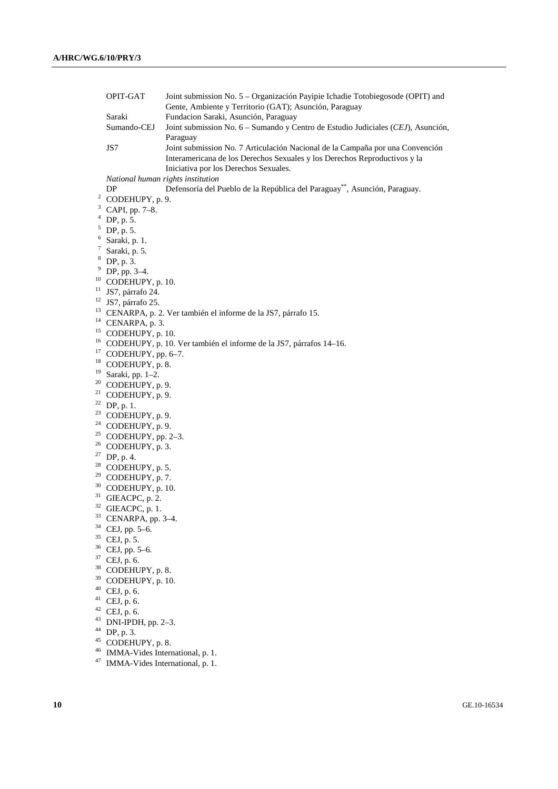|          | OPIT-GAT                                                                           | Joint submission No. 5 - Organización Payipie Ichadie Totobiegosode (OPIT) and<br>Gente, Ambiente y Territorio (GAT); Asunción, Paraguay                                                                        |
|----------|------------------------------------------------------------------------------------|-----------------------------------------------------------------------------------------------------------------------------------------------------------------------------------------------------------------|
|          | Saraki<br>Sumando-CEJ                                                              | Fundacion Saraki, Asunción, Paraguay<br>Joint submission No. 6 - Sumando y Centro de Estudio Judiciales (CEJ), Asunción,                                                                                        |
|          | JS7                                                                                | Paraguay<br>Joint submission No. 7 Articulación Nacional de la Campaña por una Convención<br>Interamericana de los Derechos Sexuales y los Derechos Reproductivos y la<br>Iniciativa por los Derechos Sexuales. |
|          | National human rights institution                                                  |                                                                                                                                                                                                                 |
|          | DP                                                                                 | Defensoría del Pueblo de la República del Paraguay <sup>**</sup> , Asunción, Paraguay.                                                                                                                          |
|          | $2$ CODEHUPY, p. 9.                                                                |                                                                                                                                                                                                                 |
| 3        | CAPI, pp. 7-8.                                                                     |                                                                                                                                                                                                                 |
| 4        | DP, p. 5.                                                                          |                                                                                                                                                                                                                 |
| 5        | DP, p. 5.                                                                          |                                                                                                                                                                                                                 |
| 6        | Saraki, p. 1.                                                                      |                                                                                                                                                                                                                 |
| 7        | Saraki, p. 5.                                                                      |                                                                                                                                                                                                                 |
|          | $8$ DP, p. 3.                                                                      |                                                                                                                                                                                                                 |
| 9        | DP, pp. 3-4.                                                                       |                                                                                                                                                                                                                 |
| 10       | CODEHUPY, p. 10.                                                                   |                                                                                                                                                                                                                 |
| 11       | JS7, párrafo 24.                                                                   |                                                                                                                                                                                                                 |
|          | $12$ JS7, párrafo 25.                                                              |                                                                                                                                                                                                                 |
| 13       |                                                                                    | CENARPA, p. 2. Ver también el informe de la JS7, párrafo 15.                                                                                                                                                    |
|          | $14$ CENARPA, p. 3.                                                                |                                                                                                                                                                                                                 |
|          | <sup>15</sup> CODEHUPY, p. 10.                                                     |                                                                                                                                                                                                                 |
| 16       |                                                                                    | CODEHUPY, p. 10. Ver también el informe de la JS7, párrafos 14-16.                                                                                                                                              |
| 17       | CODEHUPY, pp. 6-7.                                                                 |                                                                                                                                                                                                                 |
| 18       | CODEHUPY, p. 8.                                                                    |                                                                                                                                                                                                                 |
| 19       | Saraki, pp. 1-2.                                                                   |                                                                                                                                                                                                                 |
| 20       | CODEHUPY, p. 9.                                                                    |                                                                                                                                                                                                                 |
| 21       | CODEHUPY, p. 9.                                                                    |                                                                                                                                                                                                                 |
|          | $22$ DP, p. 1.                                                                     |                                                                                                                                                                                                                 |
| 23       | CODEHUPY, p. 9.                                                                    |                                                                                                                                                                                                                 |
| 24       | CODEHUPY, p. 9.                                                                    |                                                                                                                                                                                                                 |
| 25       | CODEHUPY, pp. 2-3.                                                                 |                                                                                                                                                                                                                 |
| 26       | CODEHUPY, p. 3.                                                                    |                                                                                                                                                                                                                 |
|          | $27$ DP, p. 4.                                                                     |                                                                                                                                                                                                                 |
| 28       | CODEHUPY, p. 5.                                                                    |                                                                                                                                                                                                                 |
| 29       | CODEHUPY, p. 7.                                                                    |                                                                                                                                                                                                                 |
| 30       | CODEHUPY, p. 10.                                                                   |                                                                                                                                                                                                                 |
|          | $31$ GIEACPC, p. 2.                                                                |                                                                                                                                                                                                                 |
|          | $32$ GIEACPC, p. 1.                                                                |                                                                                                                                                                                                                 |
| 33       | CENARPA, pp. 3-4.                                                                  |                                                                                                                                                                                                                 |
| 34<br>35 | CEJ, pp. 5-6.                                                                      |                                                                                                                                                                                                                 |
|          | CEJ, p. 5.                                                                         |                                                                                                                                                                                                                 |
|          | $36$ CEJ, pp. 5-6.                                                                 |                                                                                                                                                                                                                 |
|          | $37$ CEJ, p. 6.                                                                    |                                                                                                                                                                                                                 |
| 39       | <sup>38</sup> CODEHUPY, p. 8.                                                      |                                                                                                                                                                                                                 |
| 40       | CODEHUPY, p. 10.                                                                   |                                                                                                                                                                                                                 |
|          | CEJ, p. 6.                                                                         |                                                                                                                                                                                                                 |
|          | $41$ CEJ, p. 6.                                                                    |                                                                                                                                                                                                                 |
| 43       | $42$ CEJ, p. 6.                                                                    |                                                                                                                                                                                                                 |
| 44       | DNI-IPDH, pp. 2-3.                                                                 |                                                                                                                                                                                                                 |
| 45       | DP, p. 3.                                                                          |                                                                                                                                                                                                                 |
| 46       | CODEHUPY, p. 8.                                                                    |                                                                                                                                                                                                                 |
|          | IMMA-Vides International, p. 1.<br><sup>47</sup> IMMA Video International $\sim$ 1 |                                                                                                                                                                                                                 |